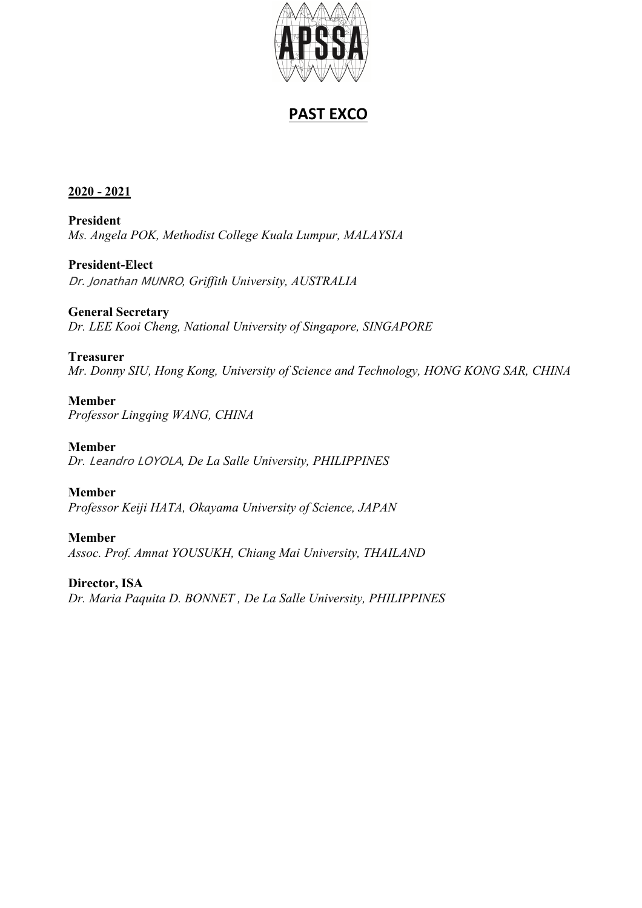

# **PAST EXCO**

### **2020 - 2021**

**President** *Ms. Angela POK, Methodist College Kuala Lumpur, MALAYSIA*

**President-Elect** Dr. Jonathan MUNRO*, Griffith University, AUSTRALIA*

**General Secretary** *Dr. LEE Kooi Cheng, National University of Singapore, SINGAPORE*

**Treasurer** *Mr. Donny SIU, Hong Kong, University of Science and Technology, HONG KONG SAR, CHINA*

**Member** *Professor Lingqing WANG, CHINA*

**Member** *Dr.* Leandro LOYOLA*, De La Salle University, PHILIPPINES*

**Member** *Professor Keiji HATA, Okayama University of Science, JAPAN*

**Member** *Assoc. Prof. Amnat YOUSUKH, Chiang Mai University, THAILAND*

**Director, ISA** *Dr. Maria Paquita D. BONNET , De La Salle University, PHILIPPINES*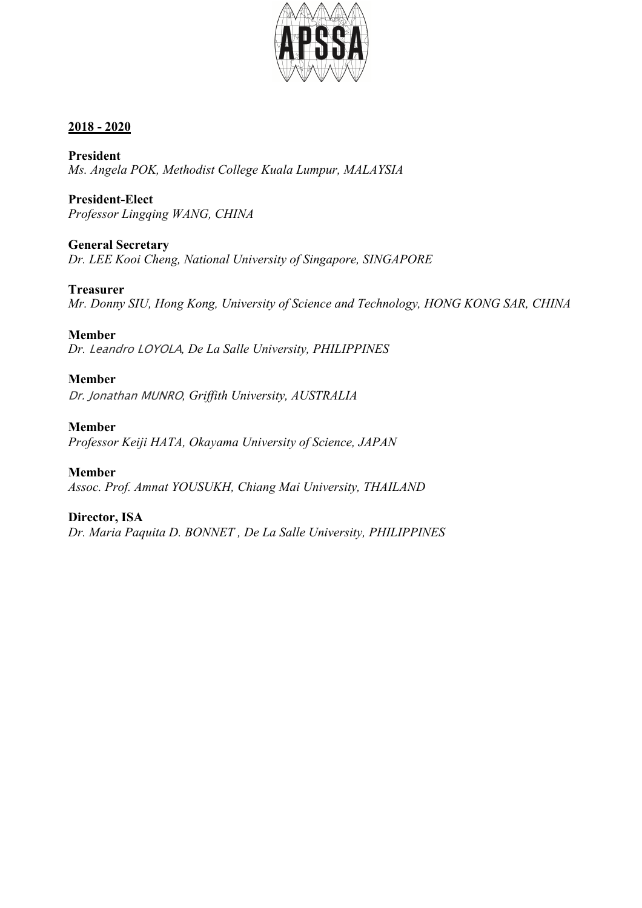

**President** *Ms. Angela POK, Methodist College Kuala Lumpur, MALAYSIA*

**President-Elect** *Professor Lingqing WANG, CHINA*

**General Secretary** *Dr. LEE Kooi Cheng, National University of Singapore, SINGAPORE*

**Treasurer** *Mr. Donny SIU, Hong Kong, University of Science and Technology, HONG KONG SAR, CHINA*

**Member**

*Dr.* Leandro LOYOLA*, De La Salle University, PHILIPPINES*

**Member**

Dr. Jonathan MUNRO*, Griffith University, AUSTRALIA*

**Member** *Professor Keiji HATA, Okayama University of Science, JAPAN*

**Member** *Assoc. Prof. Amnat YOUSUKH, Chiang Mai University, THAILAND*

**Director, ISA** *Dr. Maria Paquita D. BONNET , De La Salle University, PHILIPPINES*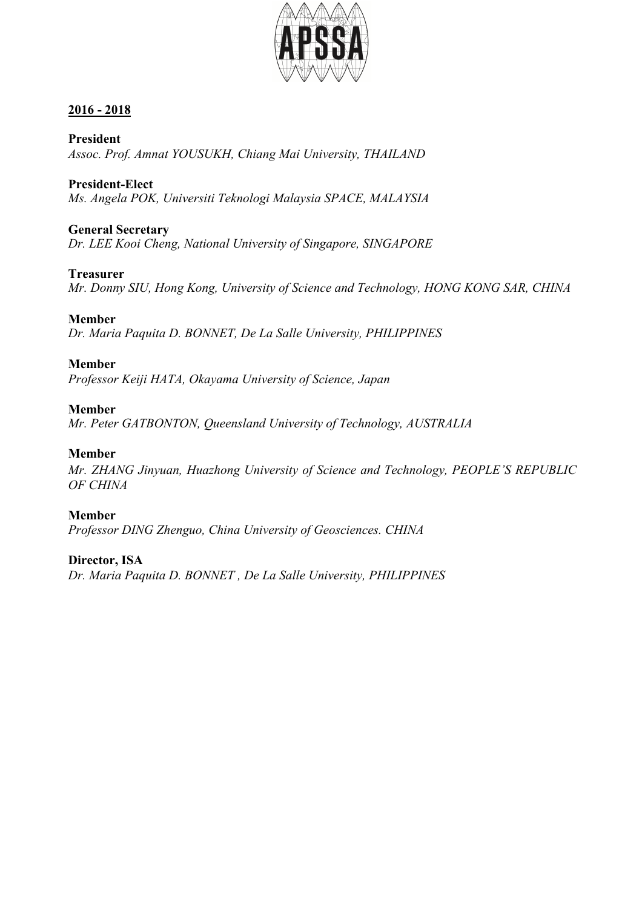

**President** *Assoc. Prof. Amnat YOUSUKH, Chiang Mai University, THAILAND*

**President-Elect** *Ms. Angela POK, Universiti Teknologi Malaysia SPACE, MALAYSIA*

### **General Secretary**

*Dr. LEE Kooi Cheng, National University of Singapore, SINGAPORE*

### **Treasurer**

*Mr. Donny SIU, Hong Kong, University of Science and Technology, HONG KONG SAR, CHINA*

### **Member**

*Dr. Maria Paquita D. BONNET, De La Salle University, PHILIPPINES*

### **Member**

*Professor Keiji HATA, Okayama University of Science, Japan*

### **Member**

*Mr. Peter GATBONTON, Queensland University of Technology, AUSTRALIA*

### **Member**

*Mr. ZHANG Jinyuan, Huazhong University of Science and Technology, PEOPLE'S REPUBLIC OF CHINA*

### **Member**

*Professor DING Zhenguo, China University of Geosciences. CHINA*

## **Director, ISA**

*Dr. Maria Paquita D. BONNET , De La Salle University, PHILIPPINES*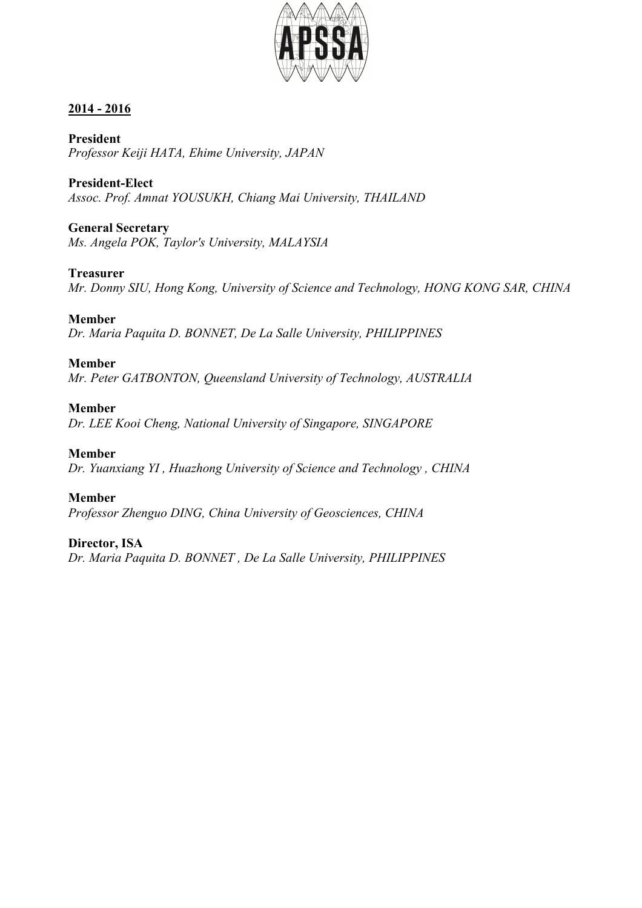

**President** *Professor Keiji HATA, Ehime University, JAPAN*

**President-Elect** *Assoc. Prof. Amnat YOUSUKH, Chiang Mai University, THAILAND*

### **General Secretary**

*Ms. Angela POK, Taylor's University, MALAYSIA*

### **Treasurer**

*Mr. Donny SIU, Hong Kong, University of Science and Technology, HONG KONG SAR, CHINA*

### **Member**

*Dr. Maria Paquita D. BONNET, De La Salle University, PHILIPPINES*

### **Member**

*Mr. Peter GATBONTON, Queensland University of Technology, AUSTRALIA*

### **Member**

*Dr. LEE Kooi Cheng, National University of Singapore, SINGAPORE*

### **Member**

*Dr. Yuanxiang YI , Huazhong University of Science and Technology , CHINA*

### **Member**

*Professor Zhenguo DING, China University of Geosciences, CHINA*

### **Director, ISA**

*Dr. Maria Paquita D. BONNET , De La Salle University, PHILIPPINES*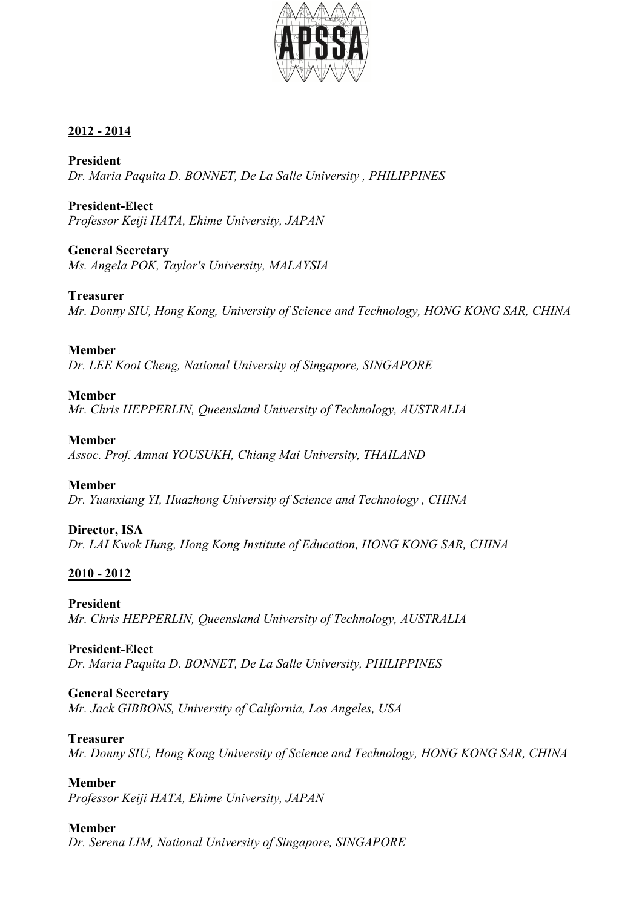

**President** *Dr. Maria Paquita D. BONNET, De La Salle University , PHILIPPINES*

**President-Elect** *Professor Keiji HATA, Ehime University, JAPAN*

**General Secretary** *Ms. Angela POK, Taylor's University, MALAYSIA*

**Treasurer** *Mr. Donny SIU, Hong Kong, University of Science and Technology, HONG KONG SAR, CHINA*

**Member** *Dr. LEE Kooi Cheng, National University of Singapore, SINGAPORE*

### **Member**

*Mr. Chris HEPPERLIN, Queensland University of Technology, AUSTRALIA*

**Member**

*Assoc. Prof. Amnat YOUSUKH, Chiang Mai University, THAILAND*

**Member** *Dr. Yuanxiang YI, Huazhong University of Science and Technology , CHINA*

**Director, ISA** *Dr. LAI Kwok Hung, Hong Kong Institute of Education, HONG KONG SAR, CHINA*

## **2010 - 2012**

**President** *Mr. Chris HEPPERLIN, Queensland University of Technology, AUSTRALIA*

### **President-Elect**

*Dr. Maria Paquita D. BONNET, De La Salle University, PHILIPPINES*

## **General Secretary**

*Mr. Jack GIBBONS, University of California, Los Angeles, USA*

### **Treasurer**

*Mr. Donny SIU, Hong Kong University of Science and Technology, HONG KONG SAR, CHINA*

## **Member**

*Professor Keiji HATA, Ehime University, JAPAN*

## **Member**

*Dr. Serena LIM, National University of Singapore, SINGAPORE*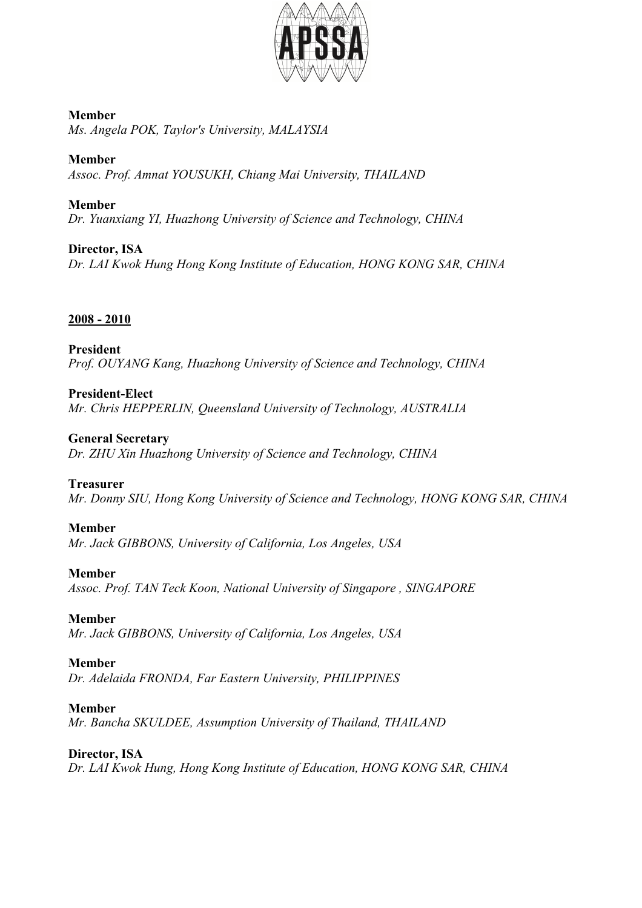

**Member** *Ms. Angela POK, Taylor's University, MALAYSIA*

**Member** *Assoc. Prof. Amnat YOUSUKH, Chiang Mai University, THAILAND*

**Member** *Dr. Yuanxiang YI, Huazhong University of Science and Technology, CHINA*

**Director, ISA** *Dr. LAI Kwok Hung Hong Kong Institute of Education, HONG KONG SAR, CHINA*

## **2008 - 2010**

**President** *Prof. OUYANG Kang, Huazhong University of Science and Technology, CHINA*

**President-Elect** *Mr. Chris HEPPERLIN, Queensland University of Technology, AUSTRALIA*

**General Secretary** *Dr. ZHU Xin Huazhong University of Science and Technology, CHINA*

## **Treasurer**

*Mr. Donny SIU, Hong Kong University of Science and Technology, HONG KONG SAR, CHINA*

## **Member**

*Mr. Jack GIBBONS, University of California, Los Angeles, USA*

## **Member**

*Assoc. Prof. TAN Teck Koon, National University of Singapore , SINGAPORE*

## **Member**

*Mr. Jack GIBBONS, University of California, Los Angeles, USA*

## **Member**

*Dr. Adelaida FRONDA, Far Eastern University, PHILIPPINES*

**Member** *Mr. Bancha SKULDEE, Assumption University of Thailand, THAILAND*

## **Director, ISA**

*Dr. LAI Kwok Hung, Hong Kong Institute of Education, HONG KONG SAR, CHINA*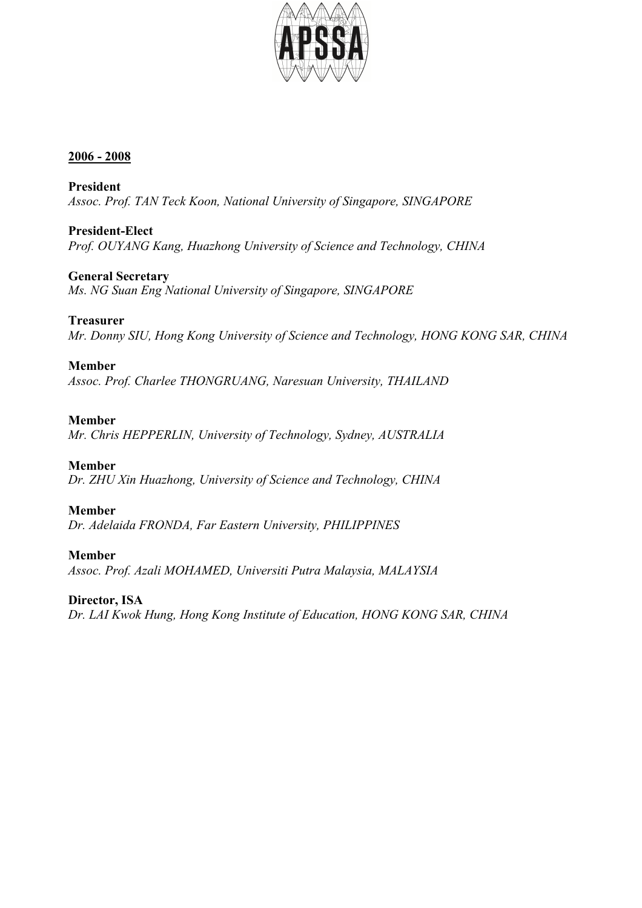

**President** *Assoc. Prof. TAN Teck Koon, National University of Singapore, SINGAPORE*

**President-Elect** *Prof. OUYANG Kang, Huazhong University of Science and Technology, CHINA*

**General Secretary** *Ms. NG Suan Eng National University of Singapore, SINGAPORE*

## **Treasurer**

*Mr. Donny SIU, Hong Kong University of Science and Technology, HONG KONG SAR, CHINA*

### **Member**

*Assoc. Prof. Charlee THONGRUANG, Naresuan University, THAILAND*

### **Member**

*Mr. Chris HEPPERLIN, University of Technology, Sydney, AUSTRALIA*

## **Member**

*Dr. ZHU Xin Huazhong, University of Science and Technology, CHINA*

## **Member**

*Dr. Adelaida FRONDA, Far Eastern University, PHILIPPINES*

## **Member**

*Assoc. Prof. Azali MOHAMED, Universiti Putra Malaysia, MALAYSIA*

## **Director, ISA**

*Dr. LAI Kwok Hung, Hong Kong Institute of Education, HONG KONG SAR, CHINA*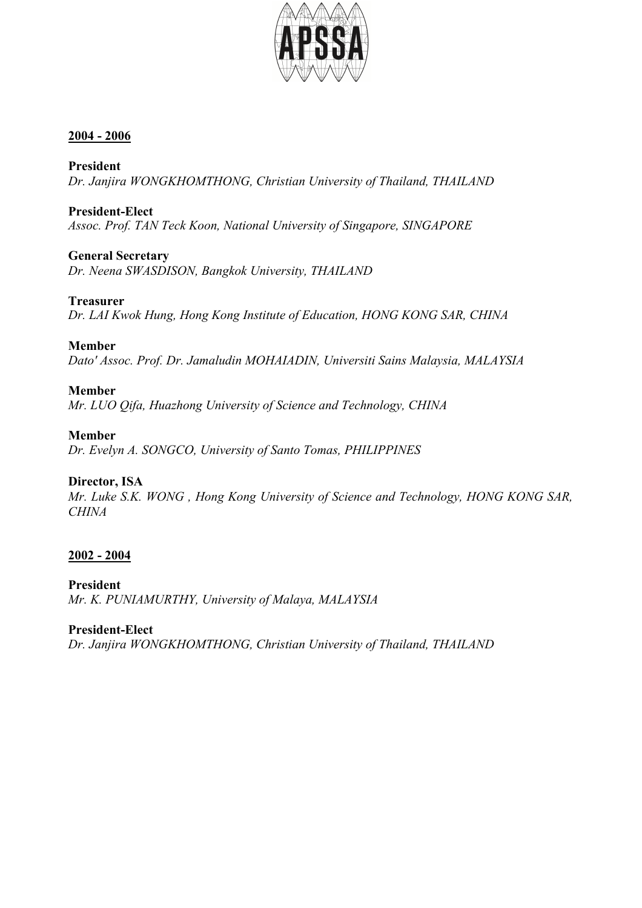

**President** *Dr. Janjira WONGKHOMTHONG, Christian University of Thailand, THAILAND*

### **President-Elect**

*Assoc. Prof. TAN Teck Koon, National University of Singapore, SINGAPORE*

## **General Secretary**

*Dr. Neena SWASDISON, Bangkok University, THAILAND*

### **Treasurer**

*Dr. LAI Kwok Hung, Hong Kong Institute of Education, HONG KONG SAR, CHINA*

### **Member**

*Dato' Assoc. Prof. Dr. Jamaludin MOHAIADIN, Universiti Sains Malaysia, MALAYSIA*

## **Member**

*Mr. LUO Qifa, Huazhong University of Science and Technology, CHINA*

### **Member**

*Dr. Evelyn A. SONGCO, University of Santo Tomas, PHILIPPINES*

## **Director, ISA**

*Mr. Luke S.K. WONG , Hong Kong University of Science and Technology, HONG KONG SAR, CHINA*

## **2002 - 2004**

**President** *Mr. K. PUNIAMURTHY, University of Malaya, MALAYSIA*

### **President-Elect**

*Dr. Janjira WONGKHOMTHONG, Christian University of Thailand, THAILAND*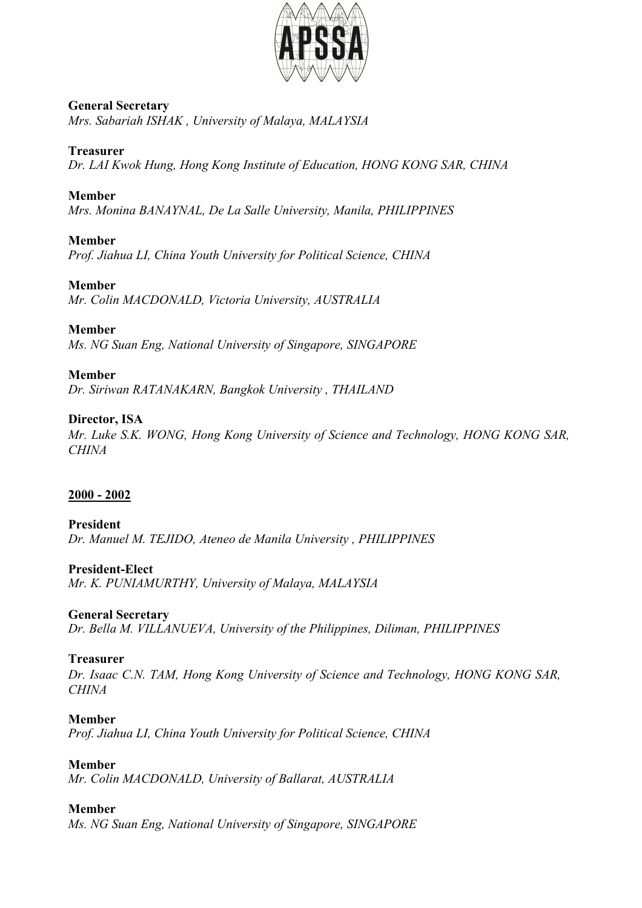

#### **General Secretary** *Mrs. Sabariah ISHAK , University of Malaya, MALAYSIA*

### **Treasurer**

*Dr. LAI Kwok Hung, Hong Kong Institute of Education, HONG KONG SAR, CHINA*

#### **Member**

*Mrs. Monina BANAYNAL, De La Salle University, Manila, PHILIPPINES*

### **Member**

*Prof. Jiahua LI, China Youth University for Political Science, CHINA*

#### **Member**

*Mr. Colin MACDONALD, Victoria University, AUSTRALIA*

#### **Member**

*Ms. NG Suan Eng, National University of Singapore, SINGAPORE*

### **Member**

*Dr. Siriwan RATANAKARN, Bangkok University , THAILAND*

### **Director, ISA**

*Mr. Luke S.K. WONG, Hong Kong University of Science and Technology, HONG KONG SAR, CHINA*

### **2000 - 2002**

#### **President** *Dr. Manuel M. TEJIDO, Ateneo de Manila University , PHILIPPINES*

**President-Elect** *Mr. K. PUNIAMURTHY, University of Malaya, MALAYSIA*

### **General Secretary**

*Dr. Bella M. VILLANUEVA, University of the Philippines, Diliman, PHILIPPINES*

#### **Treasurer**

*Dr. Isaac C.N. TAM, Hong Kong University of Science and Technology, HONG KONG SAR, CHINA*

#### **Member**

*Prof. Jiahua LI, China Youth University for Political Science, CHINA*

#### **Member**

*Mr. Colin MACDONALD, University of Ballarat, AUSTRALIA*

### **Member**

*Ms. NG Suan Eng, National University of Singapore, SINGAPORE*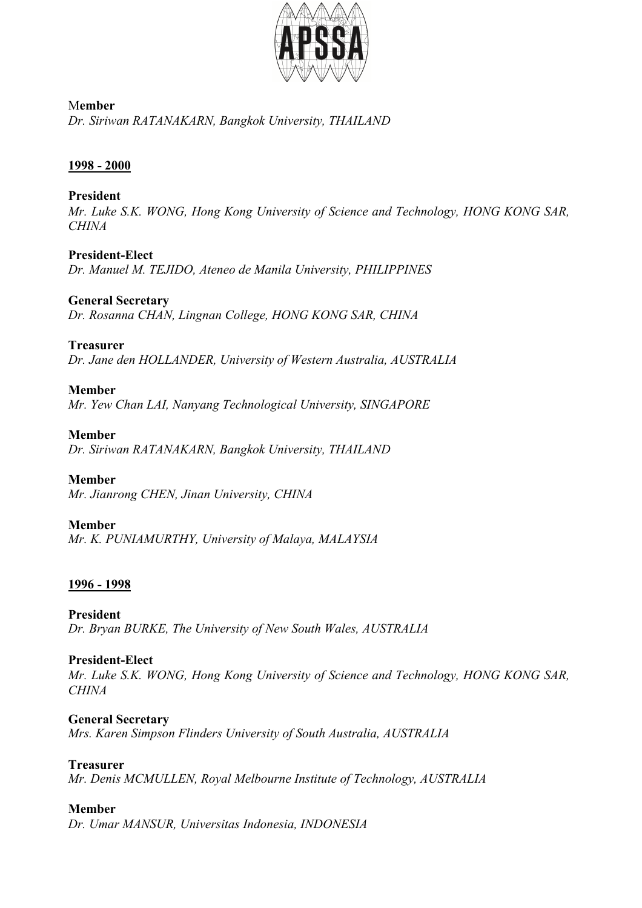

M**ember** *Dr. Siriwan RATANAKARN, Bangkok University, THAILAND*

### **1998 - 2000**

#### **President**

*Mr. Luke S.K. WONG, Hong Kong University of Science and Technology, HONG KONG SAR, CHINA*

#### **President-Elect**

*Dr. Manuel M. TEJIDO, Ateneo de Manila University, PHILIPPINES*

#### **General Secretary**

*Dr. Rosanna CHAN, Lingnan College, HONG KONG SAR, CHINA*

#### **Treasurer**

*Dr. Jane den HOLLANDER, University of Western Australia, AUSTRALIA*

#### **Member**

*Mr. Yew Chan LAI, Nanyang Technological University, SINGAPORE*

#### **Member**

*Dr. Siriwan RATANAKARN, Bangkok University, THAILAND*

#### **Member**

*Mr. Jianrong CHEN, Jinan University, CHINA*

### **Member**

*Mr. K. PUNIAMURTHY, University of Malaya, MALAYSIA*

### **1996 - 1998**

#### **President**

*Dr. Bryan BURKE, The University of New South Wales, AUSTRALIA*

### **President-Elect**

*Mr. Luke S.K. WONG, Hong Kong University of Science and Technology, HONG KONG SAR, CHINA*

#### **General Secretary**

*Mrs. Karen Simpson Flinders University of South Australia, AUSTRALIA*

#### **Treasurer**

*Mr. Denis MCMULLEN, Royal Melbourne Institute of Technology, AUSTRALIA*

### **Member**

*Dr. Umar MANSUR, Universitas Indonesia, INDONESIA*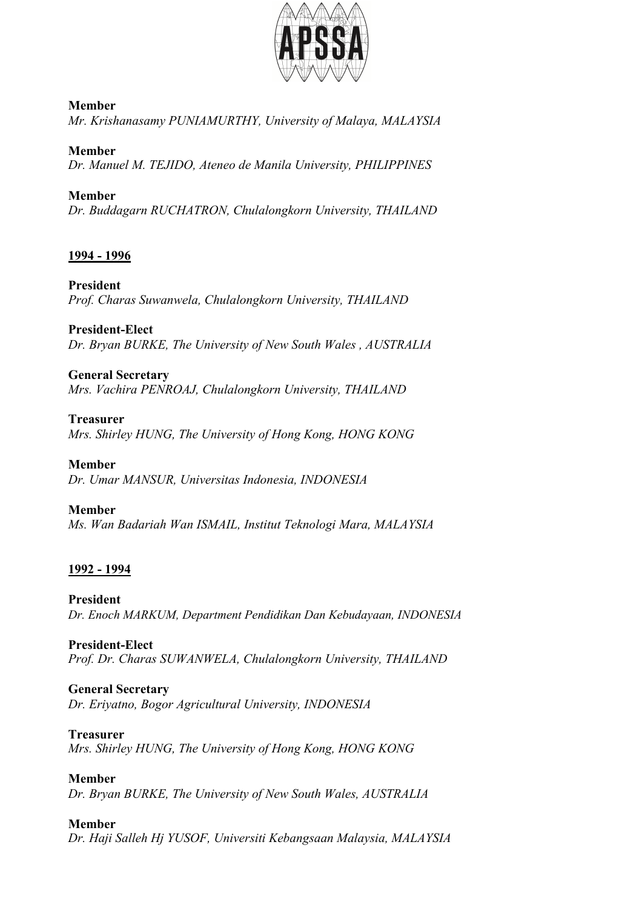

#### **Member** *Mr. Krishanasamy PUNIAMURTHY, University of Malaya, MALAYSIA*

**Member** *Dr. Manuel M. TEJIDO, Ateneo de Manila University, PHILIPPINES*

**Member** *Dr. Buddagarn RUCHATRON, Chulalongkorn University, THAILAND*

## **1994 - 1996**

**President** *Prof. Charas Suwanwela, Chulalongkorn University, THAILAND*

## **President-Elect**

*Dr. Bryan BURKE, The University of New South Wales , AUSTRALIA*

## **General Secretary**

*Mrs. Vachira PENROAJ, Chulalongkorn University, THAILAND*

#### **Treasurer**

*Mrs. Shirley HUNG, The University of Hong Kong, HONG KONG*

### **Member**

*Dr. Umar MANSUR, Universitas Indonesia, INDONESIA*

### **Member**

*Ms. Wan Badariah Wan ISMAIL, Institut Teknologi Mara, MALAYSIA*

## **1992 - 1994**

**President** *Dr. Enoch MARKUM, Department Pendidikan Dan Kebudayaan, INDONESIA*

**President-Elect** *Prof. Dr. Charas SUWANWELA, Chulalongkorn University, THAILAND*

### **General Secretary**

*Dr. Eriyatno, Bogor Agricultural University, INDONESIA*

### **Treasurer**

*Mrs. Shirley HUNG, The University of Hong Kong, HONG KONG*

### **Member**

*Dr. Bryan BURKE, The University of New South Wales, AUSTRALIA*

## **Member**

*Dr. Haji Salleh Hj YUSOF, Universiti Kebangsaan Malaysia, MALAYSIA*